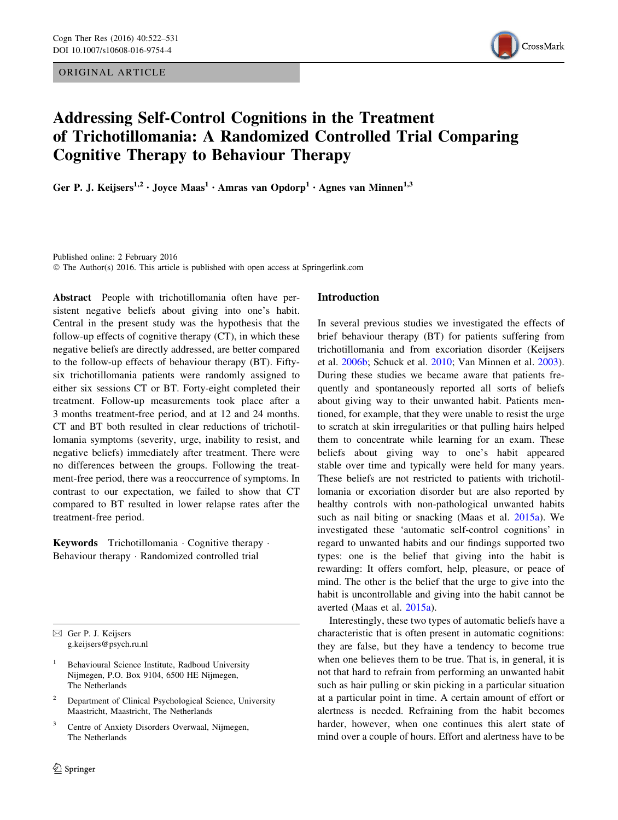ORIGINAL ARTICLE



# Addressing Self-Control Cognitions in the Treatment of Trichotillomania: A Randomized Controlled Trial Comparing Cognitive Therapy to Behaviour Therapy

Ger P. J. Keijsers<sup>1,2</sup> · Joyce Maas<sup>1</sup> · Amras van Opdorp<sup>1</sup> · Agnes van Minnen<sup>1,3</sup>

Published online: 2 February 2016 © The Author(s) 2016. This article is published with open access at Springerlink.com

Abstract People with trichotillomania often have persistent negative beliefs about giving into one's habit. Central in the present study was the hypothesis that the follow-up effects of cognitive therapy (CT), in which these negative beliefs are directly addressed, are better compared to the follow-up effects of behaviour therapy (BT). Fiftysix trichotillomania patients were randomly assigned to either six sessions CT or BT. Forty-eight completed their treatment. Follow-up measurements took place after a 3 months treatment-free period, and at 12 and 24 months. CT and BT both resulted in clear reductions of trichotillomania symptoms (severity, urge, inability to resist, and negative beliefs) immediately after treatment. There were no differences between the groups. Following the treatment-free period, there was a reoccurrence of symptoms. In contrast to our expectation, we failed to show that CT compared to BT resulted in lower relapse rates after the treatment-free period.

Keywords Trichotillomania · Cognitive therapy · Behaviour therapy - Randomized controlled trial

 $\boxtimes$  Ger P. J. Keijsers g.keijsers@psych.ru.nl

- <sup>1</sup> Behavioural Science Institute, Radboud University Nijmegen, P.O. Box 9104, 6500 HE Nijmegen, The Netherlands
- <sup>2</sup> Department of Clinical Psychological Science, University Maastricht, Maastricht, The Netherlands
- <sup>3</sup> Centre of Anxiety Disorders Overwaal, Nijmegen, The Netherlands

# Introduction

In several previous studies we investigated the effects of brief behaviour therapy (BT) for patients suffering from trichotillomania and from excoriation disorder (Keijsers et al. [2006b](#page-8-0); Schuck et al. [2010;](#page-9-0) Van Minnen et al. [2003](#page-9-0)). During these studies we became aware that patients frequently and spontaneously reported all sorts of beliefs about giving way to their unwanted habit. Patients mentioned, for example, that they were unable to resist the urge to scratch at skin irregularities or that pulling hairs helped them to concentrate while learning for an exam. These beliefs about giving way to one's habit appeared stable over time and typically were held for many years. These beliefs are not restricted to patients with trichotillomania or excoriation disorder but are also reported by healthy controls with non-pathological unwanted habits such as nail biting or snacking (Maas et al. [2015a](#page-9-0)). We investigated these 'automatic self-control cognitions' in regard to unwanted habits and our findings supported two types: one is the belief that giving into the habit is rewarding: It offers comfort, help, pleasure, or peace of mind. The other is the belief that the urge to give into the habit is uncontrollable and giving into the habit cannot be averted (Maas et al. [2015a](#page-9-0)).

Interestingly, these two types of automatic beliefs have a characteristic that is often present in automatic cognitions: they are false, but they have a tendency to become true when one believes them to be true. That is, in general, it is not that hard to refrain from performing an unwanted habit such as hair pulling or skin picking in a particular situation at a particular point in time. A certain amount of effort or alertness is needed. Refraining from the habit becomes harder, however, when one continues this alert state of mind over a couple of hours. Effort and alertness have to be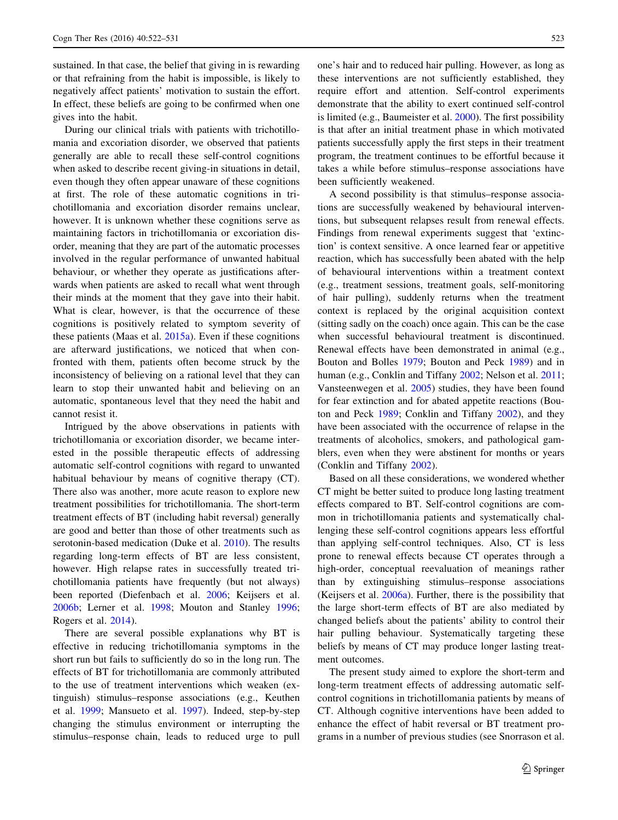sustained. In that case, the belief that giving in is rewarding or that refraining from the habit is impossible, is likely to negatively affect patients' motivation to sustain the effort. In effect, these beliefs are going to be confirmed when one gives into the habit.

During our clinical trials with patients with trichotillomania and excoriation disorder, we observed that patients generally are able to recall these self-control cognitions when asked to describe recent giving-in situations in detail, even though they often appear unaware of these cognitions at first. The role of these automatic cognitions in trichotillomania and excoriation disorder remains unclear, however. It is unknown whether these cognitions serve as maintaining factors in trichotillomania or excoriation disorder, meaning that they are part of the automatic processes involved in the regular performance of unwanted habitual behaviour, or whether they operate as justifications afterwards when patients are asked to recall what went through their minds at the moment that they gave into their habit. What is clear, however, is that the occurrence of these cognitions is positively related to symptom severity of these patients (Maas et al. [2015a](#page-9-0)). Even if these cognitions are afterward justifications, we noticed that when confronted with them, patients often become struck by the inconsistency of believing on a rational level that they can learn to stop their unwanted habit and believing on an automatic, spontaneous level that they need the habit and cannot resist it.

Intrigued by the above observations in patients with trichotillomania or excoriation disorder, we became interested in the possible therapeutic effects of addressing automatic self-control cognitions with regard to unwanted habitual behaviour by means of cognitive therapy (CT). There also was another, more acute reason to explore new treatment possibilities for trichotillomania. The short-term treatment effects of BT (including habit reversal) generally are good and better than those of other treatments such as serotonin-based medication (Duke et al. [2010\)](#page-8-0). The results regarding long-term effects of BT are less consistent, however. High relapse rates in successfully treated trichotillomania patients have frequently (but not always) been reported (Diefenbach et al. [2006](#page-8-0); Keijsers et al. [2006b;](#page-8-0) Lerner et al. [1998;](#page-9-0) Mouton and Stanley [1996](#page-9-0); Rogers et al. [2014](#page-9-0)).

There are several possible explanations why BT is effective in reducing trichotillomania symptoms in the short run but fails to sufficiently do so in the long run. The effects of BT for trichotillomania are commonly attributed to the use of treatment interventions which weaken (extinguish) stimulus–response associations (e.g., Keuthen et al. [1999](#page-8-0); Mansueto et al. [1997](#page-9-0)). Indeed, step-by-step changing the stimulus environment or interrupting the stimulus–response chain, leads to reduced urge to pull one's hair and to reduced hair pulling. However, as long as these interventions are not sufficiently established, they require effort and attention. Self-control experiments demonstrate that the ability to exert continued self-control is limited (e.g., Baumeister et al. [2000\)](#page-8-0). The first possibility is that after an initial treatment phase in which motivated patients successfully apply the first steps in their treatment program, the treatment continues to be effortful because it takes a while before stimulus–response associations have been sufficiently weakened.

A second possibility is that stimulus–response associations are successfully weakened by behavioural interventions, but subsequent relapses result from renewal effects. Findings from renewal experiments suggest that 'extinction' is context sensitive. A once learned fear or appetitive reaction, which has successfully been abated with the help of behavioural interventions within a treatment context (e.g., treatment sessions, treatment goals, self-monitoring of hair pulling), suddenly returns when the treatment context is replaced by the original acquisition context (sitting sadly on the coach) once again. This can be the case when successful behavioural treatment is discontinued. Renewal effects have been demonstrated in animal (e.g., Bouton and Bolles [1979;](#page-8-0) Bouton and Peck [1989](#page-8-0)) and in human (e.g., Conklin and Tiffany [2002](#page-8-0); Nelson et al. [2011](#page-9-0); Vansteenwegen et al. [2005](#page-9-0)) studies, they have been found for fear extinction and for abated appetite reactions (Bouton and Peck [1989](#page-8-0); Conklin and Tiffany [2002](#page-8-0)), and they have been associated with the occurrence of relapse in the treatments of alcoholics, smokers, and pathological gamblers, even when they were abstinent for months or years (Conklin and Tiffany [2002](#page-8-0)).

Based on all these considerations, we wondered whether CT might be better suited to produce long lasting treatment effects compared to BT. Self-control cognitions are common in trichotillomania patients and systematically challenging these self-control cognitions appears less effortful than applying self-control techniques. Also, CT is less prone to renewal effects because CT operates through a high-order, conceptual reevaluation of meanings rather than by extinguishing stimulus–response associations (Keijsers et al. [2006a\)](#page-8-0). Further, there is the possibility that the large short-term effects of BT are also mediated by changed beliefs about the patients' ability to control their hair pulling behaviour. Systematically targeting these beliefs by means of CT may produce longer lasting treatment outcomes.

The present study aimed to explore the short-term and long-term treatment effects of addressing automatic selfcontrol cognitions in trichotillomania patients by means of CT. Although cognitive interventions have been added to enhance the effect of habit reversal or BT treatment programs in a number of previous studies (see Snorrason et al.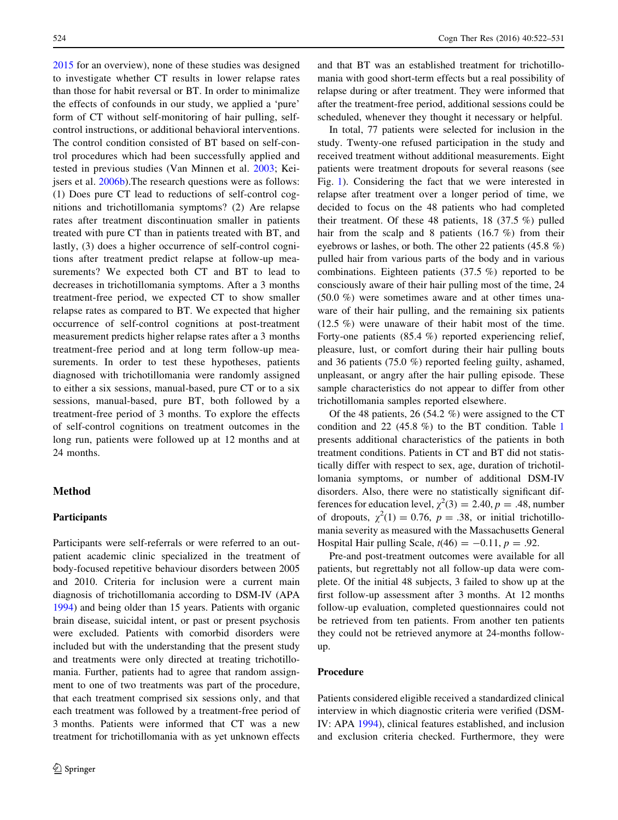[2015](#page-9-0) for an overview), none of these studies was designed to investigate whether CT results in lower relapse rates than those for habit reversal or BT. In order to minimalize the effects of confounds in our study, we applied a 'pure' form of CT without self-monitoring of hair pulling, selfcontrol instructions, or additional behavioral interventions. The control condition consisted of BT based on self-control procedures which had been successfully applied and tested in previous studies (Van Minnen et al. [2003;](#page-9-0) Keijsers et al. [2006b](#page-8-0)).The research questions were as follows: (1) Does pure CT lead to reductions of self-control cognitions and trichotillomania symptoms? (2) Are relapse rates after treatment discontinuation smaller in patients treated with pure CT than in patients treated with BT, and lastly, (3) does a higher occurrence of self-control cognitions after treatment predict relapse at follow-up measurements? We expected both CT and BT to lead to decreases in trichotillomania symptoms. After a 3 months treatment-free period, we expected CT to show smaller relapse rates as compared to BT. We expected that higher occurrence of self-control cognitions at post-treatment measurement predicts higher relapse rates after a 3 months treatment-free period and at long term follow-up measurements. In order to test these hypotheses, patients diagnosed with trichotillomania were randomly assigned to either a six sessions, manual-based, pure CT or to a six sessions, manual-based, pure BT, both followed by a treatment-free period of 3 months. To explore the effects of self-control cognitions on treatment outcomes in the long run, patients were followed up at 12 months and at 24 months.

# Method

#### Participants

Participants were self-referrals or were referred to an outpatient academic clinic specialized in the treatment of body-focused repetitive behaviour disorders between 2005 and 2010. Criteria for inclusion were a current main diagnosis of trichotillomania according to DSM-IV (APA [1994\)](#page-8-0) and being older than 15 years. Patients with organic brain disease, suicidal intent, or past or present psychosis were excluded. Patients with comorbid disorders were included but with the understanding that the present study and treatments were only directed at treating trichotillomania. Further, patients had to agree that random assignment to one of two treatments was part of the procedure, that each treatment comprised six sessions only, and that each treatment was followed by a treatment-free period of 3 months. Patients were informed that CT was a new treatment for trichotillomania with as yet unknown effects

and that BT was an established treatment for trichotillomania with good short-term effects but a real possibility of relapse during or after treatment. They were informed that after the treatment-free period, additional sessions could be scheduled, whenever they thought it necessary or helpful.

In total, 77 patients were selected for inclusion in the study. Twenty-one refused participation in the study and received treatment without additional measurements. Eight patients were treatment dropouts for several reasons (see Fig. [1](#page-3-0)). Considering the fact that we were interested in relapse after treatment over a longer period of time, we decided to focus on the 48 patients who had completed their treatment. Of these 48 patients, 18 (37.5 %) pulled hair from the scalp and 8 patients (16.7 %) from their eyebrows or lashes, or both. The other 22 patients (45.8 %) pulled hair from various parts of the body and in various combinations. Eighteen patients (37.5 %) reported to be consciously aware of their hair pulling most of the time, 24 (50.0 %) were sometimes aware and at other times unaware of their hair pulling, and the remaining six patients (12.5 %) were unaware of their habit most of the time. Forty-one patients (85.4 %) reported experiencing relief, pleasure, lust, or comfort during their hair pulling bouts and 36 patients (75.0 %) reported feeling guilty, ashamed, unpleasant, or angry after the hair pulling episode. These sample characteristics do not appear to differ from other trichotillomania samples reported elsewhere.

Of the 48 patients, 26 (54.2 %) were assigned to the CT condition and 22 (45.8 %) to the BT condition. Table [1](#page-3-0) presents additional characteristics of the patients in both treatment conditions. Patients in CT and BT did not statistically differ with respect to sex, age, duration of trichotillomania symptoms, or number of additional DSM-IV disorders. Also, there were no statistically significant differences for education level,  $\chi^2(3) = 2.40, p = .48$ , number of dropouts,  $\chi^2(1) = 0.76$ ,  $p = .38$ , or initial trichotillomania severity as measured with the Massachusetts General Hospital Hair pulling Scale,  $t(46) = -0.11$ ,  $p = .92$ .

Pre-and post-treatment outcomes were available for all patients, but regrettably not all follow-up data were complete. Of the initial 48 subjects, 3 failed to show up at the first follow-up assessment after 3 months. At 12 months follow-up evaluation, completed questionnaires could not be retrieved from ten patients. From another ten patients they could not be retrieved anymore at 24-months followup.

## Procedure

Patients considered eligible received a standardized clinical interview in which diagnostic criteria were verified (DSM-IV: APA [1994\)](#page-8-0), clinical features established, and inclusion and exclusion criteria checked. Furthermore, they were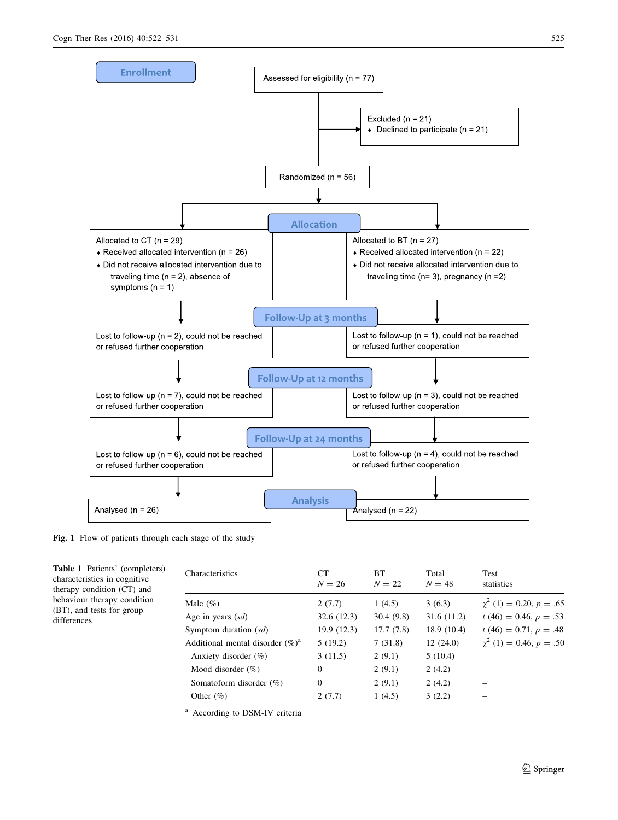<span id="page-3-0"></span>

Fig. 1 Flow of patients through each stage of the study

Table 1 Patients' (completers) characteristics in cognitive therapy condition (CT) and behaviour therapy condition (BT), and tests for group differences

| Characteristics                     | CТ<br>$N = 26$ | <b>BT</b><br>$N = 22$ | Total<br>$N = 48$ | Test<br>statistics             |
|-------------------------------------|----------------|-----------------------|-------------------|--------------------------------|
| Male $(\%)$                         | 2(7.7)         | 1(4.5)                | 3(6.3)            | $\gamma^2$ (1) = 0.20, p = .65 |
| Age in years (sd)                   | 32.6(12.3)     | 30.4(9.8)             | 31.6(11.2)        | $t(46) = 0.46, p = .53$        |
| Symptom duration (sd)               | 19.9(12.3)     | 17.7(7.8)             | 18.9(10.4)        | $t(46) = 0.71, p = .48$        |
| Additional mental disorder $(\%)^a$ | 5(19.2)        | 7(31.8)               | 12(24.0)          | $\chi^2$ (1) = 0.46, p = .50   |
| Anxiety disorder $(\% )$            | 3(11.5)        | 2(9.1)                | 5(10.4)           |                                |
| Mood disorder $(\% )$               | $\mathbf{0}$   | 2(9.1)                | 2(4.2)            |                                |
| Somatoform disorder $(\%)$          | $\mathbf{0}$   | 2(9.1)                | 2(4.2)            |                                |
| Other $(\% )$                       | 2(7.7)         | 1(4.5)                | 3(2.2)            |                                |

<sup>a</sup> According to DSM-IV criteria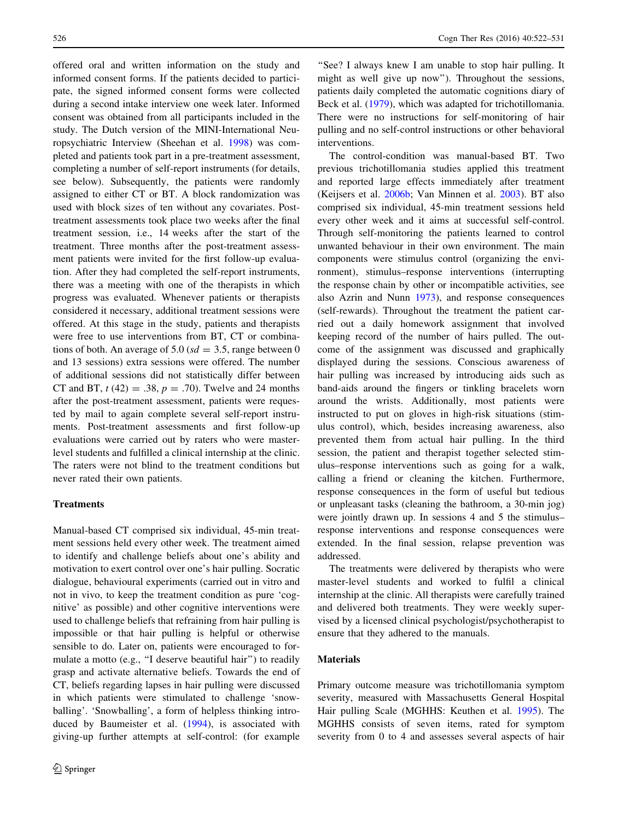offered oral and written information on the study and informed consent forms. If the patients decided to participate, the signed informed consent forms were collected during a second intake interview one week later. Informed consent was obtained from all participants included in the study. The Dutch version of the MINI-International Neuropsychiatric Interview (Sheehan et al. [1998](#page-9-0)) was completed and patients took part in a pre-treatment assessment, completing a number of self-report instruments (for details, see below). Subsequently, the patients were randomly assigned to either CT or BT. A block randomization was used with block sizes of ten without any covariates. Posttreatment assessments took place two weeks after the final treatment session, i.e., 14 weeks after the start of the treatment. Three months after the post-treatment assessment patients were invited for the first follow-up evaluation. After they had completed the self-report instruments, there was a meeting with one of the therapists in which progress was evaluated. Whenever patients or therapists considered it necessary, additional treatment sessions were offered. At this stage in the study, patients and therapists were free to use interventions from BT, CT or combinations of both. An average of 5.0 ( $sd = 3.5$ , range between 0 and 13 sessions) extra sessions were offered. The number of additional sessions did not statistically differ between CT and BT,  $t(42) = .38, p = .70$ . Twelve and 24 months after the post-treatment assessment, patients were requested by mail to again complete several self-report instruments. Post-treatment assessments and first follow-up evaluations were carried out by raters who were masterlevel students and fulfilled a clinical internship at the clinic. The raters were not blind to the treatment conditions but never rated their own patients.

# **Treatments**

Manual-based CT comprised six individual, 45-min treatment sessions held every other week. The treatment aimed to identify and challenge beliefs about one's ability and motivation to exert control over one's hair pulling. Socratic dialogue, behavioural experiments (carried out in vitro and not in vivo, to keep the treatment condition as pure 'cognitive' as possible) and other cognitive interventions were used to challenge beliefs that refraining from hair pulling is impossible or that hair pulling is helpful or otherwise sensible to do. Later on, patients were encouraged to formulate a motto (e.g., ''I deserve beautiful hair'') to readily grasp and activate alternative beliefs. Towards the end of CT, beliefs regarding lapses in hair pulling were discussed in which patients were stimulated to challenge 'snowballing'. 'Snowballing', a form of helpless thinking introduced by Baumeister et al. [\(1994](#page-8-0)), is associated with giving-up further attempts at self-control: (for example

''See? I always knew I am unable to stop hair pulling. It might as well give up now''). Throughout the sessions, patients daily completed the automatic cognitions diary of Beck et al. [\(1979](#page-8-0)), which was adapted for trichotillomania. There were no instructions for self-monitoring of hair pulling and no self-control instructions or other behavioral interventions.

The control-condition was manual-based BT. Two previous trichotillomania studies applied this treatment and reported large effects immediately after treatment (Keijsers et al. [2006b;](#page-8-0) Van Minnen et al. [2003\)](#page-9-0). BT also comprised six individual, 45-min treatment sessions held every other week and it aims at successful self-control. Through self-monitoring the patients learned to control unwanted behaviour in their own environment. The main components were stimulus control (organizing the environment), stimulus–response interventions (interrupting the response chain by other or incompatible activities, see also Azrin and Nunn [1973](#page-8-0)), and response consequences (self-rewards). Throughout the treatment the patient carried out a daily homework assignment that involved keeping record of the number of hairs pulled. The outcome of the assignment was discussed and graphically displayed during the sessions. Conscious awareness of hair pulling was increased by introducing aids such as band-aids around the fingers or tinkling bracelets worn around the wrists. Additionally, most patients were instructed to put on gloves in high-risk situations (stimulus control), which, besides increasing awareness, also prevented them from actual hair pulling. In the third session, the patient and therapist together selected stimulus–response interventions such as going for a walk, calling a friend or cleaning the kitchen. Furthermore, response consequences in the form of useful but tedious or unpleasant tasks (cleaning the bathroom, a 30-min jog) were jointly drawn up. In sessions 4 and 5 the stimulus– response interventions and response consequences were extended. In the final session, relapse prevention was addressed.

The treatments were delivered by therapists who were master-level students and worked to fulfil a clinical internship at the clinic. All therapists were carefully trained and delivered both treatments. They were weekly supervised by a licensed clinical psychologist/psychotherapist to ensure that they adhered to the manuals.

#### Materials

Primary outcome measure was trichotillomania symptom severity, measured with Massachusetts General Hospital Hair pulling Scale (MGHHS: Keuthen et al. [1995](#page-9-0)). The MGHHS consists of seven items, rated for symptom severity from 0 to 4 and assesses several aspects of hair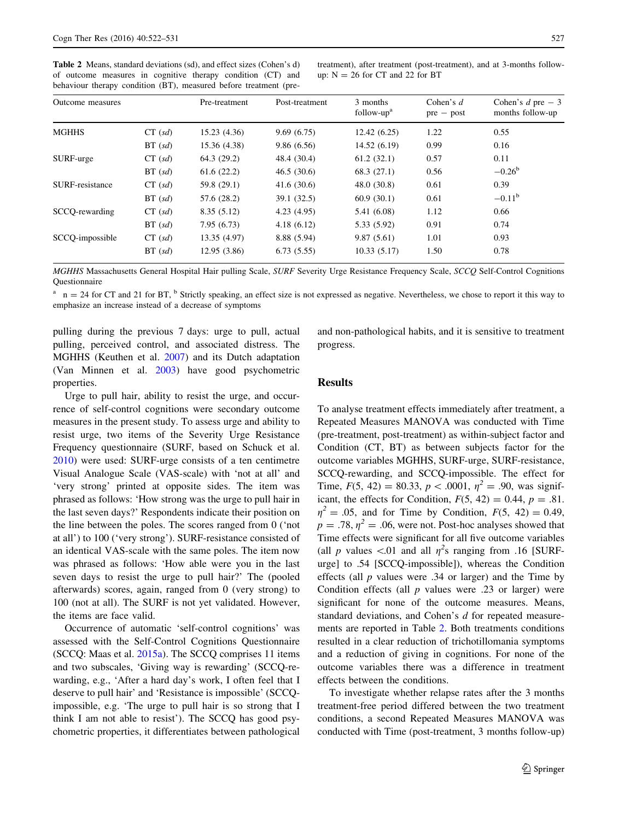<span id="page-5-0"></span>Table 2 Means, standard deviations (sd), and effect sizes (Cohen's d) of outcome measures in cognitive therapy condition (CT) and behaviour therapy condition (BT), measured before treatment (pre-

treatment), after treatment (post-treatment), and at 3-months followup:  $N = 26$  for CT and 22 for BT

| Outcome measures |           | Pre-treatment | Post-treatment | 3 months<br>$follow-upa$ | Cohen's $d$<br>$pre - post$ | Cohen's d pre $-3$<br>months follow-up |
|------------------|-----------|---------------|----------------|--------------------------|-----------------------------|----------------------------------------|
| <b>MGHHS</b>     | $CT$ (sd) | 15.23(4.36)   | 9.69(6.75)     | 12.42(6.25)              | 1.22                        | 0.55                                   |
|                  | BT(sd)    | 15.36 (4.38)  | 9.86(6.56)     | 14.52 (6.19)             | 0.99                        | 0.16                                   |
| SURF-urge        | $CT$ (sd) | 64.3(29.2)    | 48.4(30.4)     | 61.2(32.1)               | 0.57                        | 0.11                                   |
|                  | BT(sd)    | 61.6(22.2)    | 46.5(30.6)     | 68.3(27.1)               | 0.56                        | $-0.26^b$                              |
| SURF-resistance  | $CT$ (sd) | 59.8 (29.1)   | 41.6(30.6)     | 48.0(30.8)               | 0.61                        | 0.39                                   |
|                  | BT(sd)    | 57.6 (28.2)   | 39.1(32.5)     | 60.9(30.1)               | 0.61                        | $-0.11^{\rm b}$                        |
| SCCQ-rewarding   | $CT$ (sd) | 8.35(5.12)    | 4.23(4.95)     | 5.41 (6.08)              | 1.12                        | 0.66                                   |
|                  | BT(sd)    | 7.95(6.73)    | 4.18(6.12)     | 5.33 (5.92)              | 0.91                        | 0.74                                   |
| SCCQ-impossible  | $CT$ (sd) | 13.35(4.97)   | 8.88 (5.94)    | 9.87(5.61)               | 1.01                        | 0.93                                   |
|                  | BT(sd)    | 12.95(3.86)   | 6.73(5.55)     | 10.33(5.17)              | 1.50                        | 0.78                                   |

MGHHS Massachusetts General Hospital Hair pulling Scale, SURF Severity Urge Resistance Frequency Scale, SCCQ Self-Control Cognitions Questionnaire

 $n = 24$  for CT and 21 for BT, <sup>b</sup> Strictly speaking, an effect size is not expressed as negative. Nevertheless, we chose to report it this way to emphasize an increase instead of a decrease of symptoms

pulling during the previous 7 days: urge to pull, actual pulling, perceived control, and associated distress. The MGHHS (Keuthen et al. [2007](#page-8-0)) and its Dutch adaptation (Van Minnen et al. [2003\)](#page-9-0) have good psychometric properties.

Urge to pull hair, ability to resist the urge, and occurrence of self-control cognitions were secondary outcome measures in the present study. To assess urge and ability to resist urge, two items of the Severity Urge Resistance Frequency questionnaire (SURF, based on Schuck et al. [2010\)](#page-9-0) were used: SURF-urge consists of a ten centimetre Visual Analogue Scale (VAS-scale) with 'not at all' and 'very strong' printed at opposite sides. The item was phrased as follows: 'How strong was the urge to pull hair in the last seven days?' Respondents indicate their position on the line between the poles. The scores ranged from 0 ('not at all') to 100 ('very strong'). SURF-resistance consisted of an identical VAS-scale with the same poles. The item now was phrased as follows: 'How able were you in the last seven days to resist the urge to pull hair?' The (pooled afterwards) scores, again, ranged from 0 (very strong) to 100 (not at all). The SURF is not yet validated. However, the items are face valid.

Occurrence of automatic 'self-control cognitions' was assessed with the Self-Control Cognitions Questionnaire (SCCQ: Maas et al. [2015a\)](#page-9-0). The SCCQ comprises 11 items and two subscales, 'Giving way is rewarding' (SCCQ-rewarding, e.g., 'After a hard day's work, I often feel that I deserve to pull hair' and 'Resistance is impossible' (SCCQimpossible, e.g. 'The urge to pull hair is so strong that I think I am not able to resist'). The SCCQ has good psychometric properties, it differentiates between pathological and non-pathological habits, and it is sensitive to treatment progress.

# **Results**

To analyse treatment effects immediately after treatment, a Repeated Measures MANOVA was conducted with Time (pre-treatment, post-treatment) as within-subject factor and Condition (CT, BT) as between subjects factor for the outcome variables MGHHS, SURF-urge, SURF-resistance, SCCQ-rewarding, and SCCQ-impossible. The effect for Time,  $F(5, 42) = 80.33, p < .0001, \eta^2 = .90$ , was significant, the effects for Condition,  $F(5, 42) = 0.44$ ,  $p = .81$ .  $\eta^2 = .05$ , and for Time by Condition,  $F(5, 42) = 0.49$ ,  $p = .78$ ,  $\eta^2 = .06$ , were not. Post-hoc analyses showed that Time effects were significant for all five outcome variables (all p values <.01 and all  $\eta^2$ s ranging from .16 [SURFurge] to .54 [SCCQ-impossible]), whereas the Condition effects (all  $p$  values were .34 or larger) and the Time by Condition effects (all  $p$  values were .23 or larger) were significant for none of the outcome measures. Means, standard deviations, and Cohen's d for repeated measurements are reported in Table 2. Both treatments conditions resulted in a clear reduction of trichotillomania symptoms and a reduction of giving in cognitions. For none of the outcome variables there was a difference in treatment effects between the conditions.

To investigate whether relapse rates after the 3 months treatment-free period differed between the two treatment conditions, a second Repeated Measures MANOVA was conducted with Time (post-treatment, 3 months follow-up)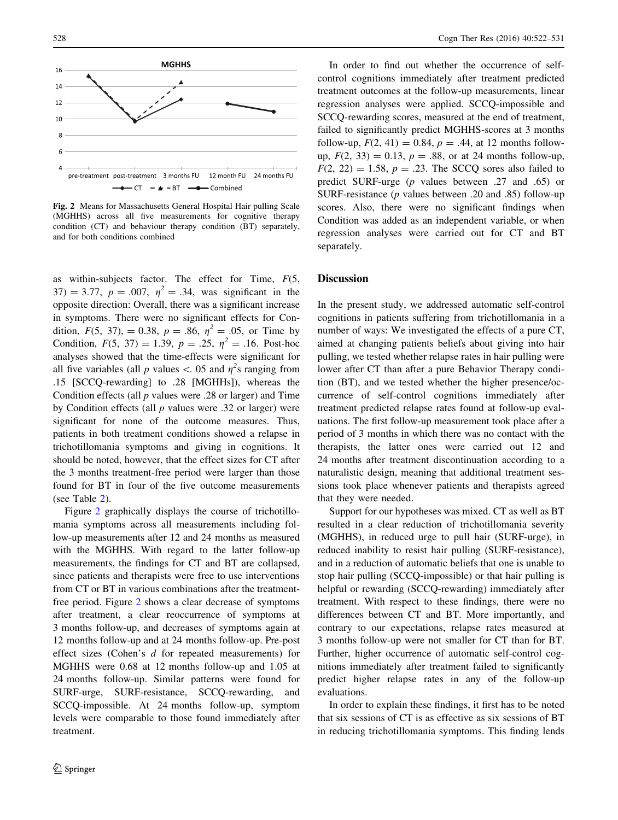

Fig. 2 Means for Massachusetts General Hospital Hair pulling Scale (MGHHS) across all five measurements for cognitive therapy condition (CT) and behaviour therapy condition (BT) separately, and for both conditions combined

as within-subjects factor. The effect for Time,  $F(5, 1)$  $37) = 3.77$ ,  $p = .007$ ,  $p^2 = .34$ , was significant in the opposite direction: Overall, there was a significant increase in symptoms. There were no significant effects for Condition,  $F(5, 37)$ , = 0.38,  $p = .86$ ,  $\eta^2 = .05$ , or Time by Condition,  $F(5, 37) = 1.39$ ,  $p = .25$ ,  $\eta^2 = .16$ . Post-hoc analyses showed that the time-effects were significant for all five variables (all p values  $\lt$ . 05 and  $\eta^2$ s ranging from .15 [SCCQ-rewarding] to .28 [MGHHs]), whereas the Condition effects (all  $p$  values were .28 or larger) and Time by Condition effects (all  $p$  values were .32 or larger) were significant for none of the outcome measures. Thus, patients in both treatment conditions showed a relapse in trichotillomania symptoms and giving in cognitions. It should be noted, however, that the effect sizes for CT after the 3 months treatment-free period were larger than those found for BT in four of the five outcome measurements (see Table [2\)](#page-5-0).

Figure 2 graphically displays the course of trichotillomania symptoms across all measurements including follow-up measurements after 12 and 24 months as measured with the MGHHS. With regard to the latter follow-up measurements, the findings for CT and BT are collapsed, since patients and therapists were free to use interventions from CT or BT in various combinations after the treatmentfree period. Figure 2 shows a clear decrease of symptoms after treatment, a clear reoccurrence of symptoms at 3 months follow-up, and decreases of symptoms again at 12 months follow-up and at 24 months follow-up. Pre-post effect sizes (Cohen's d for repeated measurements) for MGHHS were 0.68 at 12 months follow-up and 1.05 at 24 months follow-up. Similar patterns were found for SURF-urge, SURF-resistance, SCCQ-rewarding, and SCCQ-impossible. At 24 months follow-up, symptom levels were comparable to those found immediately after treatment.

In order to find out whether the occurrence of selfcontrol cognitions immediately after treatment predicted treatment outcomes at the follow-up measurements, linear regression analyses were applied. SCCQ-impossible and SCCQ-rewarding scores, measured at the end of treatment, failed to significantly predict MGHHS-scores at 3 months follow-up,  $F(2, 41) = 0.84$ ,  $p = .44$ , at 12 months followup,  $F(2, 33) = 0.13$ ,  $p = .88$ , or at 24 months follow-up,  $F(2, 22) = 1.58$ ,  $p = .23$ . The SCCQ sores also failed to predict SURF-urge (p values between .27 and .65) or SURF-resistance (p values between .20 and .85) follow-up scores. Also, there were no significant findings when Condition was added as an independent variable, or when regression analyses were carried out for CT and BT separately.

## **Discussion**

In the present study, we addressed automatic self-control cognitions in patients suffering from trichotillomania in a number of ways: We investigated the effects of a pure CT, aimed at changing patients beliefs about giving into hair pulling, we tested whether relapse rates in hair pulling were lower after CT than after a pure Behavior Therapy condition (BT), and we tested whether the higher presence/occurrence of self-control cognitions immediately after treatment predicted relapse rates found at follow-up evaluations. The first follow-up measurement took place after a period of 3 months in which there was no contact with the therapists, the latter ones were carried out 12 and 24 months after treatment discontinuation according to a naturalistic design, meaning that additional treatment sessions took place whenever patients and therapists agreed that they were needed.

Support for our hypotheses was mixed. CT as well as BT resulted in a clear reduction of trichotillomania severity (MGHHS), in reduced urge to pull hair (SURF-urge), in reduced inability to resist hair pulling (SURF-resistance), and in a reduction of automatic beliefs that one is unable to stop hair pulling (SCCQ-impossible) or that hair pulling is helpful or rewarding (SCCQ-rewarding) immediately after treatment. With respect to these findings, there were no differences between CT and BT. More importantly, and contrary to our expectations, relapse rates measured at 3 months follow-up were not smaller for CT than for BT. Further, higher occurrence of automatic self-control cognitions immediately after treatment failed to significantly predict higher relapse rates in any of the follow-up evaluations.

In order to explain these findings, it first has to be noted that six sessions of CT is as effective as six sessions of BT in reducing trichotillomania symptoms. This finding lends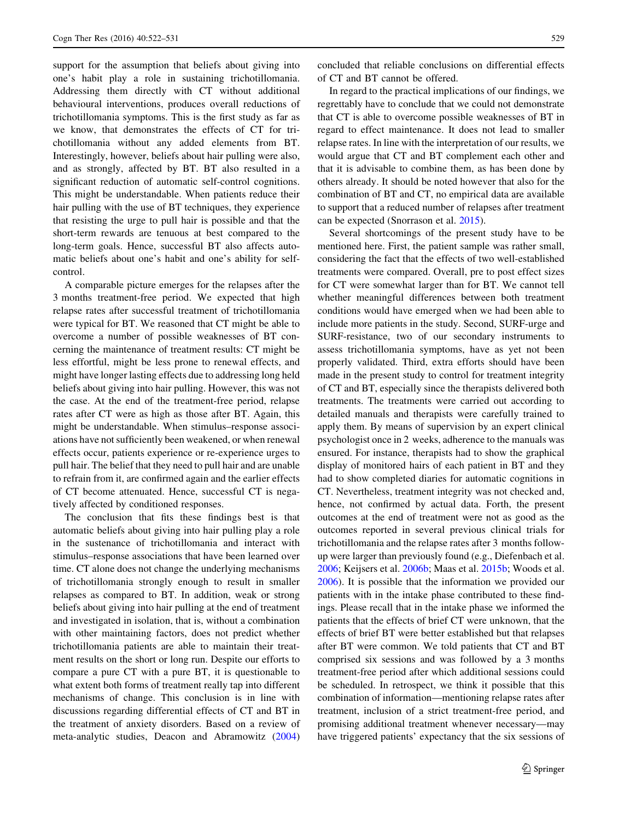support for the assumption that beliefs about giving into one's habit play a role in sustaining trichotillomania. Addressing them directly with CT without additional behavioural interventions, produces overall reductions of trichotillomania symptoms. This is the first study as far as we know, that demonstrates the effects of CT for trichotillomania without any added elements from BT. Interestingly, however, beliefs about hair pulling were also, and as strongly, affected by BT. BT also resulted in a significant reduction of automatic self-control cognitions. This might be understandable. When patients reduce their hair pulling with the use of BT techniques, they experience that resisting the urge to pull hair is possible and that the short-term rewards are tenuous at best compared to the long-term goals. Hence, successful BT also affects automatic beliefs about one's habit and one's ability for selfcontrol.

A comparable picture emerges for the relapses after the 3 months treatment-free period. We expected that high relapse rates after successful treatment of trichotillomania were typical for BT. We reasoned that CT might be able to overcome a number of possible weaknesses of BT concerning the maintenance of treatment results: CT might be less effortful, might be less prone to renewal effects, and might have longer lasting effects due to addressing long held beliefs about giving into hair pulling. However, this was not the case. At the end of the treatment-free period, relapse rates after CT were as high as those after BT. Again, this might be understandable. When stimulus–response associations have not sufficiently been weakened, or when renewal effects occur, patients experience or re-experience urges to pull hair. The belief that they need to pull hair and are unable to refrain from it, are confirmed again and the earlier effects of CT become attenuated. Hence, successful CT is negatively affected by conditioned responses.

The conclusion that fits these findings best is that automatic beliefs about giving into hair pulling play a role in the sustenance of trichotillomania and interact with stimulus–response associations that have been learned over time. CT alone does not change the underlying mechanisms of trichotillomania strongly enough to result in smaller relapses as compared to BT. In addition, weak or strong beliefs about giving into hair pulling at the end of treatment and investigated in isolation, that is, without a combination with other maintaining factors, does not predict whether trichotillomania patients are able to maintain their treatment results on the short or long run. Despite our efforts to compare a pure CT with a pure BT, it is questionable to what extent both forms of treatment really tap into different mechanisms of change. This conclusion is in line with discussions regarding differential effects of CT and BT in the treatment of anxiety disorders. Based on a review of meta-analytic studies, Deacon and Abramowitz ([2004\)](#page-8-0) concluded that reliable conclusions on differential effects of CT and BT cannot be offered.

In regard to the practical implications of our findings, we regrettably have to conclude that we could not demonstrate that CT is able to overcome possible weaknesses of BT in regard to effect maintenance. It does not lead to smaller relapse rates. In line with the interpretation of our results, we would argue that CT and BT complement each other and that it is advisable to combine them, as has been done by others already. It should be noted however that also for the combination of BT and CT, no empirical data are available to support that a reduced number of relapses after treatment can be expected (Snorrason et al. [2015\)](#page-9-0).

Several shortcomings of the present study have to be mentioned here. First, the patient sample was rather small, considering the fact that the effects of two well-established treatments were compared. Overall, pre to post effect sizes for CT were somewhat larger than for BT. We cannot tell whether meaningful differences between both treatment conditions would have emerged when we had been able to include more patients in the study. Second, SURF-urge and SURF-resistance, two of our secondary instruments to assess trichotillomania symptoms, have as yet not been properly validated. Third, extra efforts should have been made in the present study to control for treatment integrity of CT and BT, especially since the therapists delivered both treatments. The treatments were carried out according to detailed manuals and therapists were carefully trained to apply them. By means of supervision by an expert clinical psychologist once in 2 weeks, adherence to the manuals was ensured. For instance, therapists had to show the graphical display of monitored hairs of each patient in BT and they had to show completed diaries for automatic cognitions in CT. Nevertheless, treatment integrity was not checked and, hence, not confirmed by actual data. Forth, the present outcomes at the end of treatment were not as good as the outcomes reported in several previous clinical trials for trichotillomania and the relapse rates after 3 months followup were larger than previously found (e.g., Diefenbach et al. [2006](#page-8-0); Keijsers et al. [2006b](#page-8-0); Maas et al. [2015b](#page-9-0); Woods et al. [2006](#page-9-0)). It is possible that the information we provided our patients with in the intake phase contributed to these findings. Please recall that in the intake phase we informed the patients that the effects of brief CT were unknown, that the effects of brief BT were better established but that relapses after BT were common. We told patients that CT and BT comprised six sessions and was followed by a 3 months treatment-free period after which additional sessions could be scheduled. In retrospect, we think it possible that this combination of information—mentioning relapse rates after treatment, inclusion of a strict treatment-free period, and promising additional treatment whenever necessary—may have triggered patients' expectancy that the six sessions of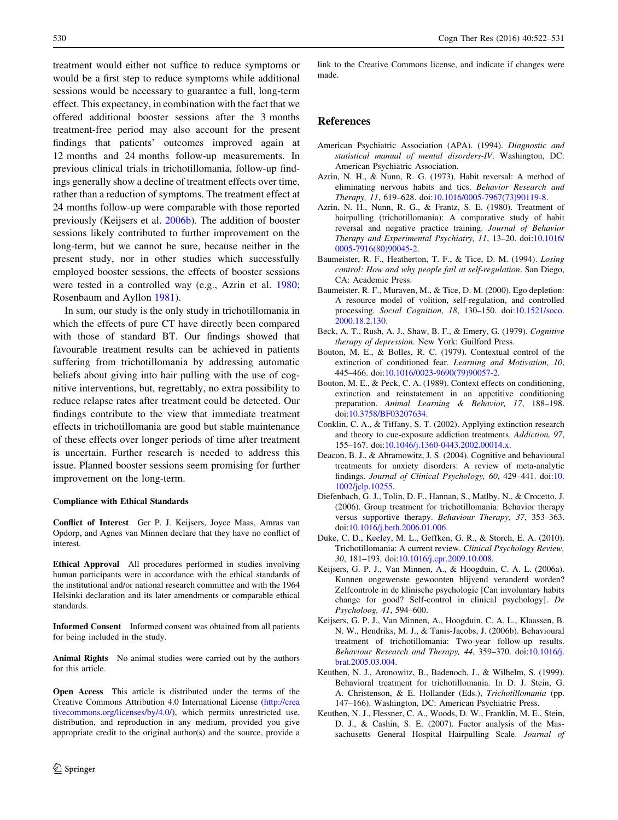<span id="page-8-0"></span>treatment would either not suffice to reduce symptoms or would be a first step to reduce symptoms while additional sessions would be necessary to guarantee a full, long-term effect. This expectancy, in combination with the fact that we offered additional booster sessions after the 3 months treatment-free period may also account for the present findings that patients' outcomes improved again at 12 months and 24 months follow-up measurements. In previous clinical trials in trichotillomania, follow-up findings generally show a decline of treatment effects over time, rather than a reduction of symptoms. The treatment effect at 24 months follow-up were comparable with those reported previously (Keijsers et al. 2006b). The addition of booster sessions likely contributed to further improvement on the long-term, but we cannot be sure, because neither in the present study, nor in other studies which successfully employed booster sessions, the effects of booster sessions were tested in a controlled way (e.g., Azrin et al. 1980; Rosenbaum and Ayllon [1981\)](#page-9-0).

In sum, our study is the only study in trichotillomania in which the effects of pure CT have directly been compared with those of standard BT. Our findings showed that favourable treatment results can be achieved in patients suffering from trichotillomania by addressing automatic beliefs about giving into hair pulling with the use of cognitive interventions, but, regrettably, no extra possibility to reduce relapse rates after treatment could be detected. Our findings contribute to the view that immediate treatment effects in trichotillomania are good but stable maintenance of these effects over longer periods of time after treatment is uncertain. Further research is needed to address this issue. Planned booster sessions seem promising for further improvement on the long-term.

#### Compliance with Ethical Standards

Conflict of Interest Ger P. J. Keijsers, Joyce Maas, Amras van Opdorp, and Agnes van Minnen declare that they have no conflict of interest.

Ethical Approval All procedures performed in studies involving human participants were in accordance with the ethical standards of the institutional and/or national research committee and with the 1964 Helsinki declaration and its later amendments or comparable ethical standards.

Informed Consent Informed consent was obtained from all patients for being included in the study.

Animal Rights No animal studies were carried out by the authors for this article.

Open Access This article is distributed under the terms of the Creative Commons Attribution 4.0 International License ([http://crea](http://creativecommons.org/licenses/by/4.0/) [tivecommons.org/licenses/by/4.0/\)](http://creativecommons.org/licenses/by/4.0/), which permits unrestricted use, distribution, and reproduction in any medium, provided you give appropriate credit to the original author(s) and the source, provide a link to the Creative Commons license, and indicate if changes were made.

#### References

- American Psychiatric Association (APA). (1994). Diagnostic and statistical manual of mental disorders-IV. Washington, DC: American Psychiatric Association.
- Azrin, N. H., & Nunn, R. G. (1973). Habit reversal: A method of eliminating nervous habits and tics. Behavior Research and Therapy, 11, 619–628. doi:[10.1016/0005-7967\(73\)90119-8.](http://dx.doi.org/10.1016/0005-7967(73)90119-8)
- Azrin, N. H., Nunn, R. G., & Frantz, S. E. (1980). Treatment of hairpulling (trichotillomania): A comparative study of habit reversal and negative practice training. Journal of Behavior Therapy and Experimental Psychiatry, 11, 13–20. doi[:10.1016/](http://dx.doi.org/10.1016/0005-7916(80)90045-2) [0005-7916\(80\)90045-2](http://dx.doi.org/10.1016/0005-7916(80)90045-2).
- Baumeister, R. F., Heatherton, T. F., & Tice, D. M. (1994). Losing control: How and why people fail at self-regulation. San Diego, CA: Academic Press.
- Baumeister, R. F., Muraven, M., & Tice, D. M. (2000). Ego depletion: A resource model of volition, self-regulation, and controlled processing. Social Cognition, 18, 130–150. doi:[10.1521/soco.](http://dx.doi.org/10.1521/soco.2000.18.2.130) [2000.18.2.130.](http://dx.doi.org/10.1521/soco.2000.18.2.130)
- Beck, A. T., Rush, A. J., Shaw, B. F., & Emery, G. (1979). Cognitive therapy of depression. New York: Guilford Press.
- Bouton, M. E., & Bolles, R. C. (1979). Contextual control of the extinction of conditioned fear. Learning and Motivation, 10, 445–466. doi:[10.1016/0023-9690\(79\)90057-2.](http://dx.doi.org/10.1016/0023-9690(79)90057-2)
- Bouton, M. E., & Peck, C. A. (1989). Context effects on conditioning, extinction and reinstatement in an appetitive conditioning preparation. Animal Learning & Behavior, 17, 188–198. doi[:10.3758/BF03207634.](http://dx.doi.org/10.3758/BF03207634)
- Conklin, C. A., & Tiffany, S. T. (2002). Applying extinction research and theory to cue-exposure addiction treatments. Addiction, 97, 155–167. doi:[10.1046/j.1360-0443.2002.00014.x.](http://dx.doi.org/10.1046/j.1360-0443.2002.00014.x)
- Deacon, B. J., & Abramowitz, J. S. (2004). Cognitive and behavioural treatments for anxiety disorders: A review of meta-analytic findings. Journal of Clinical Psychology, 60, 429–441. doi:[10.](http://dx.doi.org/10.1002/jclp.10255) [1002/jclp.10255.](http://dx.doi.org/10.1002/jclp.10255)
- Diefenbach, G. J., Tolin, D. F., Hannan, S., Matlby, N., & Crocetto, J. (2006). Group treatment for trichotillomania: Behavior therapy versus supportive therapy. Behaviour Therapy, 37, 353–363. doi[:10.1016/j.beth.2006.01.006.](http://dx.doi.org/10.1016/j.beth.2006.01.006)
- Duke, C. D., Keeley, M. L., Geffken, G. R., & Storch, E. A. (2010). Trichotillomania: A current review. Clinical Psychology Review, 30, 181–193. doi[:10.1016/j.cpr.2009.10.008](http://dx.doi.org/10.1016/j.cpr.2009.10.008).
- Keijsers, G. P. J., Van Minnen, A., & Hoogduin, C. A. L. (2006a). Kunnen ongewenste gewoonten blijvend veranderd worden? Zelfcontrole in de klinische psychologie [Can involuntary habits change for good? Self-control in clinical psychology]. De Psycholoog, 41, 594–600.
- Keijsers, G. P. J., Van Minnen, A., Hoogduin, C. A. L., Klaassen, B. N. W., Hendriks, M. J., & Tanis-Jacobs, J. (2006b). Behavioural treatment of trichotillomania: Two-year follow-up results. Behaviour Research and Therapy, 44, 359–370. doi:[10.1016/j.](http://dx.doi.org/10.1016/j.brat.2005.03.004) [brat.2005.03.004.](http://dx.doi.org/10.1016/j.brat.2005.03.004)
- Keuthen, N. J., Aronowitz, B., Badenoch, J., & Wilhelm, S. (1999). Behavioral treatment for trichotillomania. In D. J. Stein, G. A. Christenson, & E. Hollander (Eds.), Trichotillomania (pp. 147–166). Washington, DC: American Psychiatric Press.
- Keuthen, N. J., Flessner, C. A., Woods, D. W., Franklin, M. E., Stein, D. J., & Cashin, S. E. (2007). Factor analysis of the Massachusetts General Hospital Hairpulling Scale. Journal of